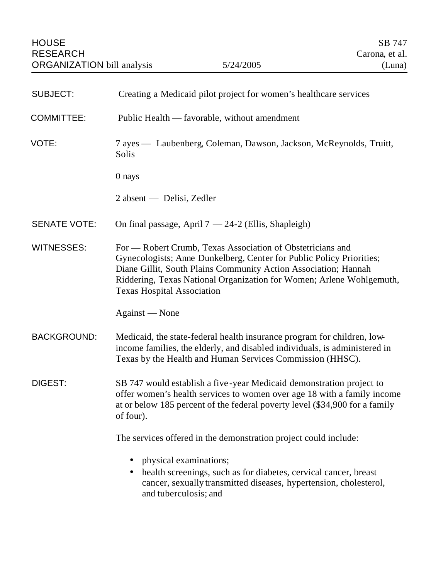| <b>SUBJECT:</b>     | Creating a Medicaid pilot project for women's healthcare services                                                                                                                                                                                                                                                  |
|---------------------|--------------------------------------------------------------------------------------------------------------------------------------------------------------------------------------------------------------------------------------------------------------------------------------------------------------------|
| <b>COMMITTEE:</b>   | Public Health — favorable, without amendment                                                                                                                                                                                                                                                                       |
| VOTE:               | 7 ayes — Laubenberg, Coleman, Dawson, Jackson, McReynolds, Truitt,<br>Solis                                                                                                                                                                                                                                        |
|                     | 0 nays                                                                                                                                                                                                                                                                                                             |
|                     | $2$ absent — Delisi, Zedler                                                                                                                                                                                                                                                                                        |
| <b>SENATE VOTE:</b> | On final passage, April $7 - 24-2$ (Ellis, Shapleigh)                                                                                                                                                                                                                                                              |
| <b>WITNESSES:</b>   | For — Robert Crumb, Texas Association of Obstetricians and<br>Gynecologists; Anne Dunkelberg, Center for Public Policy Priorities;<br>Diane Gillit, South Plains Community Action Association; Hannah<br>Riddering, Texas National Organization for Women; Arlene Wohlgemuth,<br><b>Texas Hospital Association</b> |
|                     | Against — None                                                                                                                                                                                                                                                                                                     |
| <b>BACKGROUND:</b>  | Medicaid, the state-federal health insurance program for children, low-<br>income families, the elderly, and disabled individuals, is administered in<br>Texas by the Health and Human Services Commission (HHSC).                                                                                                 |
| <b>DIGEST:</b>      | SB 747 would establish a five-year Medicaid demonstration project to<br>offer women's health services to women over age 18 with a family income<br>at or below 185 percent of the federal poverty level (\$34,900 for a family<br>of four).                                                                        |
|                     | The services offered in the demonstration project could include:                                                                                                                                                                                                                                                   |
|                     | physical examinations;<br>$\bullet$<br>health screenings, such as for diabetes, cervical cancer, breast<br>$\bullet$<br>cancer, sexually transmitted diseases, hypertension, cholesterol,<br>and tuberculosis; and                                                                                                 |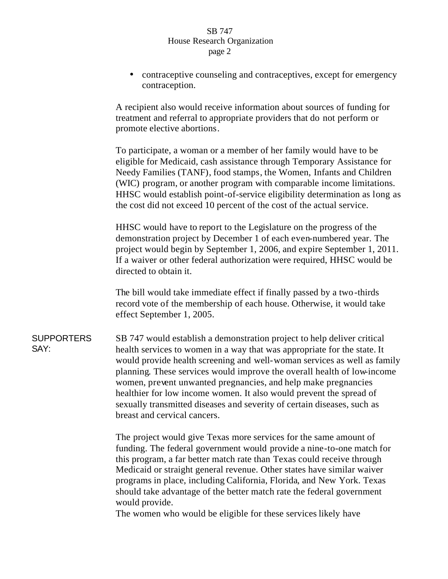## SB 747 House Research Organization page 2

• contraceptive counseling and contraceptives, except for emergency contraception.

A recipient also would receive information about sources of funding for treatment and referral to appropriate providers that do not perform or promote elective abortions.

To participate, a woman or a member of her family would have to be eligible for Medicaid, cash assistance through Temporary Assistance for Needy Families (TANF), food stamps, the Women, Infants and Children (WIC) program, or another program with comparable income limitations. HHSC would establish point-of-service eligibility determination as long as the cost did not exceed 10 percent of the cost of the actual service.

HHSC would have to report to the Legislature on the progress of the demonstration project by December 1 of each even-numbered year. The project would begin by September 1, 2006, and expire September 1, 2011. If a waiver or other federal authorization were required, HHSC would be directed to obtain it.

The bill would take immediate effect if finally passed by a two-thirds record vote of the membership of each house. Otherwise, it would take effect September 1, 2005.

**SUPPORTERS** SAY: SB 747 would establish a demonstration project to help deliver critical health services to women in a way that was appropriate for the state. It would provide health screening and well-woman services as well as family planning. These services would improve the overall health of low-income women, prevent unwanted pregnancies, and help make pregnancies healthier for low income women. It also would prevent the spread of sexually transmitted diseases and severity of certain diseases, such as breast and cervical cancers.

> The project would give Texas more services for the same amount of funding. The federal government would provide a nine-to-one match for this program, a far better match rate than Texas could receive through Medicaid or straight general revenue. Other states have similar waiver programs in place, including California, Florida, and New York. Texas should take advantage of the better match rate the federal government would provide.

The women who would be eligible for these services likely have